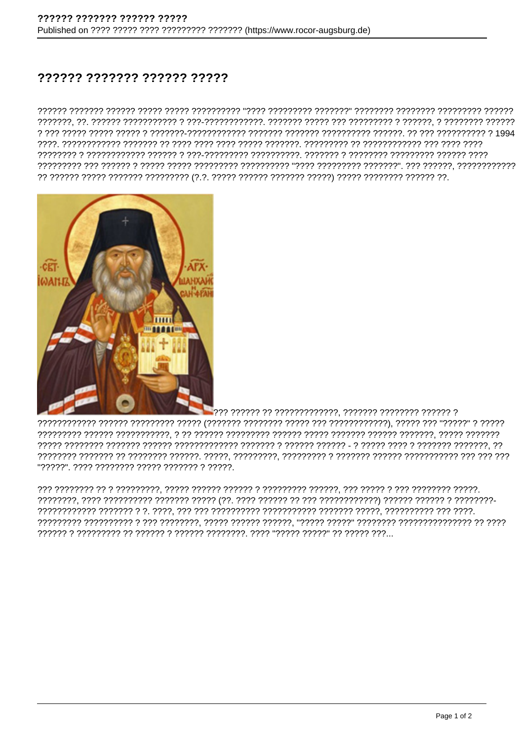## ?????? ??????? ?????? ?????



"?????". ???? ???????? ????? ??????? ? ?????.